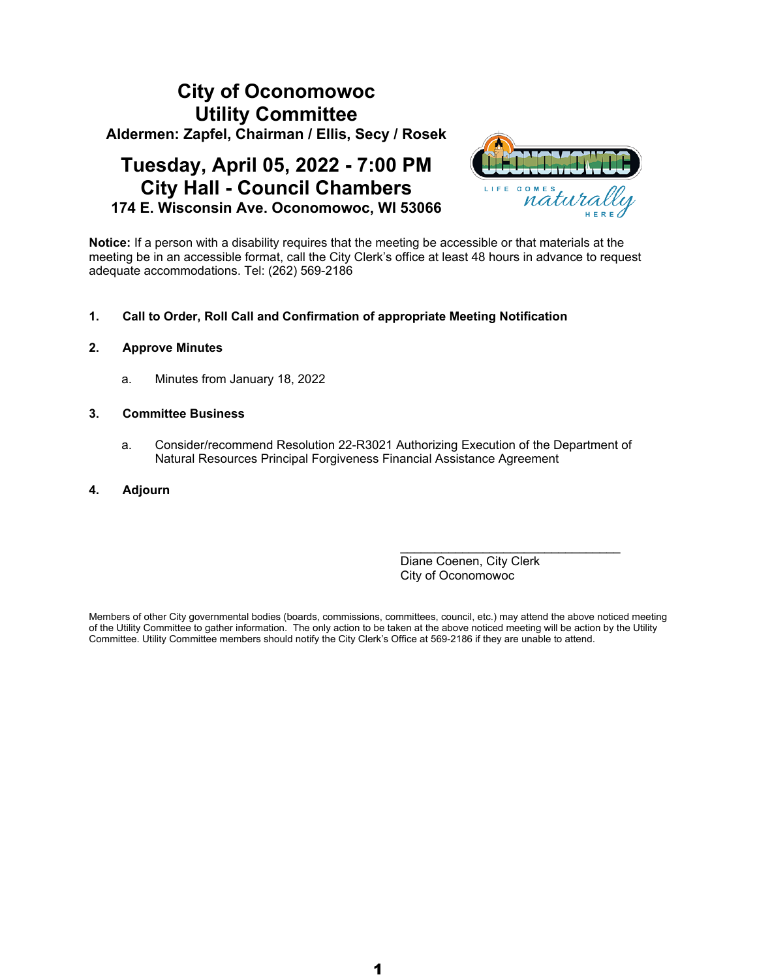# **City of Oconomowoc Utility Committee Aldermen: Zapfel, Chairman / Ellis, Secy / Rosek**

## **Tuesday, April 05, 2022 - 7:00 PM City Hall - Council Chambers 174 E. Wisconsin Ave. Oconomowoc, WI 53066**



**Notice:** If a person with a disability requires that the meeting be accessible or that materials at the meeting be in an accessible format, call the City Clerk's office at least 48 hours in advance to request adequate accommodations. Tel: (262) 569-2186

#### **1. Call to Order, Roll Call and Confirmation of appropriate Meeting Notification**

#### **2. Approve Minutes**

a. Minutes from January 18, 2022

#### **3. Committee Business**

- a. Consider/recommend Resolution 22-R3021 Authorizing Execution of the Department of Natural Resources Principal Forgiveness Financial Assistance Agreement
- **4. Adjourn**

Diane Coenen, City Clerk City of Oconomowoc

\_\_\_\_\_\_\_\_\_\_\_\_\_\_\_\_\_\_\_\_\_\_\_\_\_\_\_\_\_\_\_\_

Members of other City governmental bodies (boards, commissions, committees, council, etc.) may attend the above noticed meeting of the Utility Committee to gather information. The only action to be taken at the above noticed meeting will be action by the Utility Committee. Utility Committee members should notify the City Clerk's Office at 569-2186 if they are unable to attend.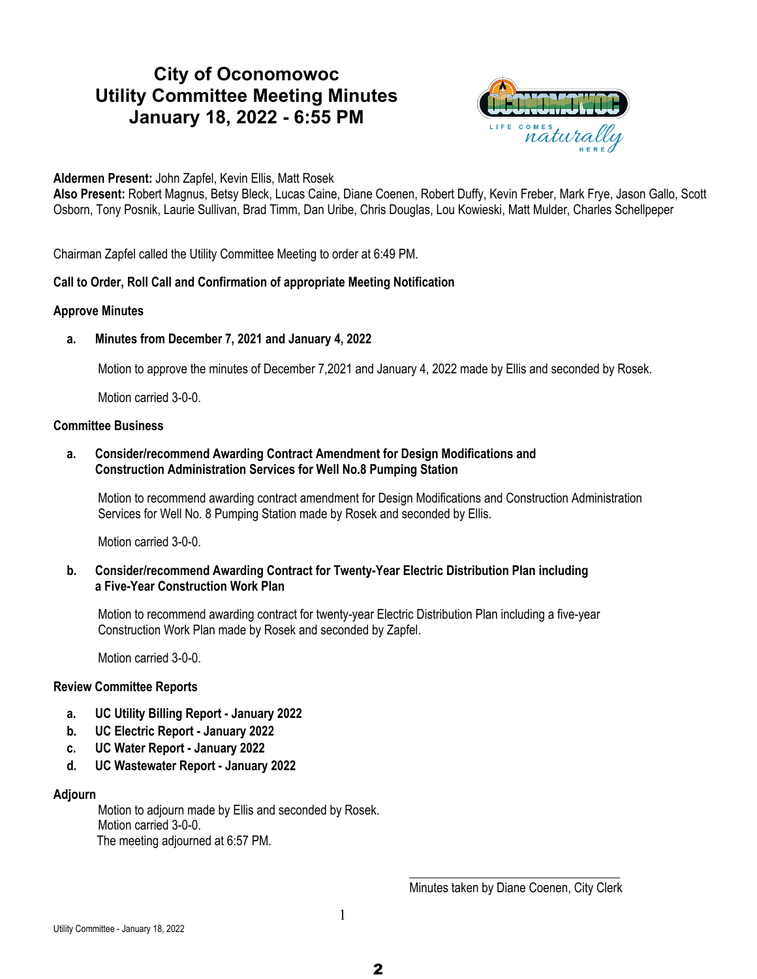## **City of Oconomowoc Utility Committee Meeting Minutes January 18, 2022 - 6:55 PM**



**Aldermen Present:** John Zapfel, Kevin Ellis, Matt Rosek

**Also Present:** Robert Magnus, Betsy Bleck, Lucas Caine, Diane Coenen, Robert Duffy, Kevin Freber, Mark Frye, Jason Gallo, Scott Osborn, Tony Posnik, Laurie Sullivan, Brad Timm, Dan Uribe, Chris Douglas, Lou Kowieski, Matt Mulder, Charles Schellpeper

Chairman Zapfel called the Utility Committee Meeting to order at 6:49 PM.

#### **Call to Order, Roll Call and Confirmation of appropriate Meeting Notification**

#### **Approve Minutes**

**a. Minutes from December 7, 2021 and January 4, 2022**

Motion to approve the minutes of December 7,2021 and January 4, 2022 made by Ellis and seconded by Rosek.

Motion carried 3-0-0.

#### **Committee Business**

#### **a. Consider/recommend Awarding Contract Amendment for Design Modifications and Construction Administration Services for Well No.8 Pumping Station**

Motion to recommend awarding contract amendment for Design Modifications and Construction Administration Services for Well No. 8 Pumping Station made by Rosek and seconded by Ellis.

Motion carried 3-0-0.

#### **b. Consider/recommend Awarding Contract for Twenty-Year Electric Distribution Plan including a Five-Year Construction Work Plan**

Motion to recommend awarding contract for twenty-year Electric Distribution Plan including a five-year Construction Work Plan made by Rosek and seconded by Zapfel.

Motion carried 3-0-0.

#### **Review Committee Reports**

- **a. UC Utility Billing Report January 2022**
- **b. UC Electric Report January 2022**
- **c. UC Water Report January 2022**
- **d. UC Wastewater Report January 2022**

#### **Adjourn**

Motion to adjourn made by Ellis and seconded by Rosek. Motion carried 3-0-0. The meeting adjourned at 6:57 PM.

> \_\_\_\_\_\_\_\_\_\_\_\_\_\_\_\_\_\_\_\_\_\_\_\_\_\_\_\_\_\_\_\_\_\_ Minutes taken by Diane Coenen, City Clerk

1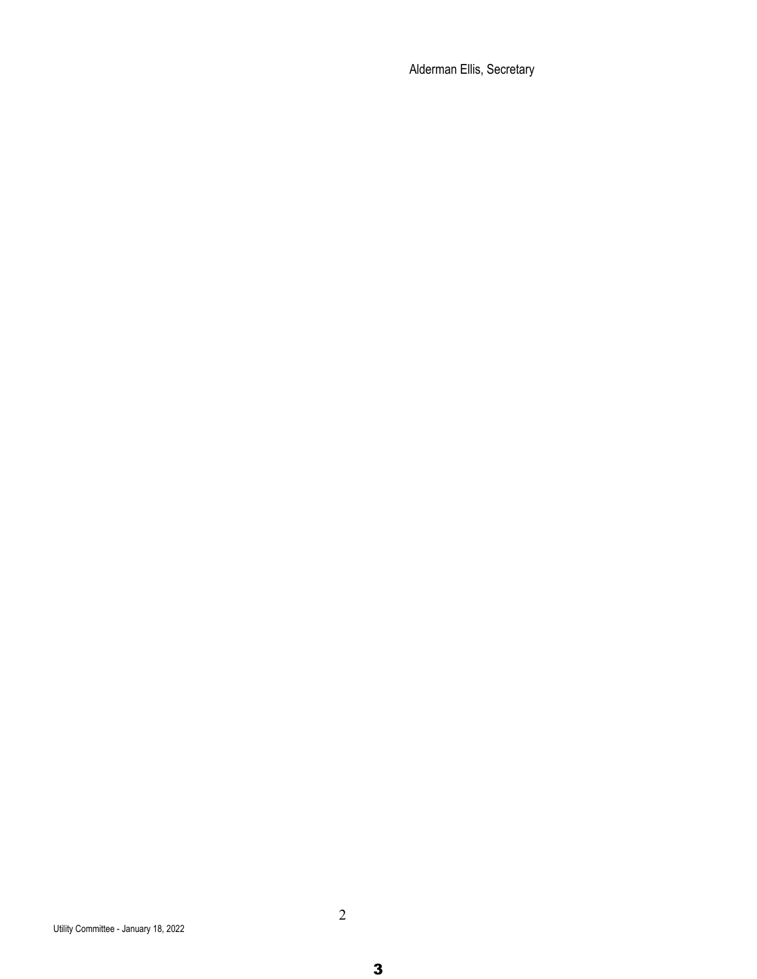Alderman Ellis, Secretary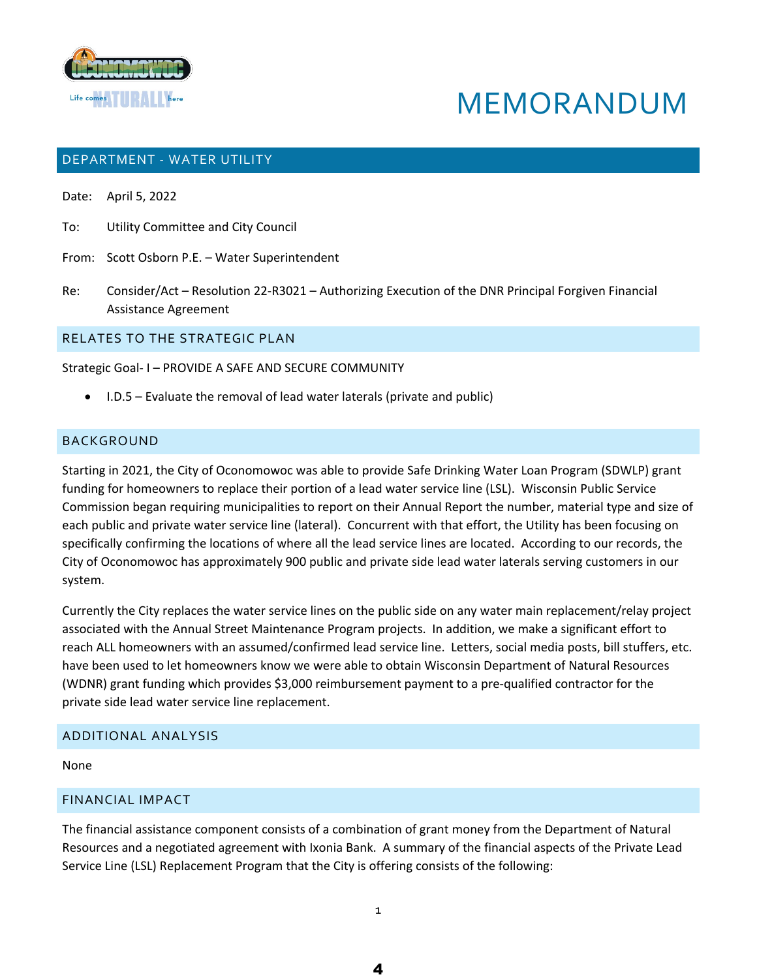

# MEMORANDUM

#### DEPARTMENT - WATER UTILITY

Date: April 5, 2022

- To: Utility Committee and City Council
- From: Scott Osborn P.E. Water Superintendent
- Re: Consider/Act Resolution 22-R3021 Authorizing Execution of the DNR Principal Forgiven Financial Assistance Agreement

RELATES TO THE STRATEGIC PLAN

Strategic Goal- I – PROVIDE A SAFE AND SECURE COMMUNITY

I.D.5 – Evaluate the removal of lead water laterals (private and public)

#### BACKGROUND

Starting in 2021, the City of Oconomowoc was able to provide Safe Drinking Water Loan Program (SDWLP) grant funding for homeowners to replace their portion of a lead water service line (LSL). Wisconsin Public Service Commission began requiring municipalities to report on their Annual Report the number, material type and size of each public and private water service line (lateral). Concurrent with that effort, the Utility has been focusing on specifically confirming the locations of where all the lead service lines are located. According to our records, the City of Oconomowoc has approximately 900 public and private side lead water laterals serving customers in our system.

Currently the City replaces the water service lines on the public side on any water main replacement/relay project associated with the Annual Street Maintenance Program projects. In addition, we make a significant effort to reach ALL homeowners with an assumed/confirmed lead service line. Letters, social media posts, bill stuffers, etc. have been used to let homeowners know we were able to obtain Wisconsin Department of Natural Resources (WDNR) grant funding which provides \$3,000 reimbursement payment to a pre-qualified contractor for the private side lead water service line replacement.

#### ADDITIONAL ANALYSIS

None

#### FINANCIAL IMPACT

The financial assistance component consists of a combination of grant money from the Department of Natural Resources and a negotiated agreement with Ixonia Bank. A summary of the financial aspects of the Private Lead Service Line (LSL) Replacement Program that the City is offering consists of the following:

1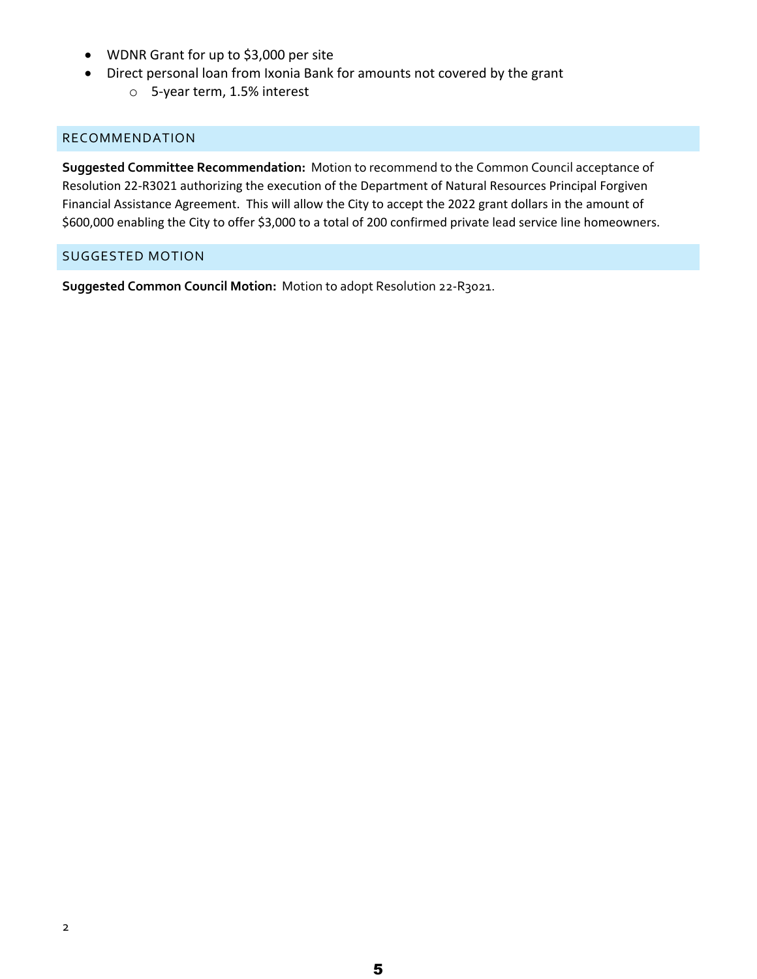- WDNR Grant for up to \$3,000 per site
- Direct personal loan from Ixonia Bank for amounts not covered by the grant
	- o 5-year term, 1.5% interest

#### RECOMMENDATION

**Suggested Committee Recommendation:** Motion to recommend to the Common Council acceptance of Resolution 22-R3021 authorizing the execution of the Department of Natural Resources Principal Forgiven Financial Assistance Agreement. This will allow the City to accept the 2022 grant dollars in the amount of \$600,000 enabling the City to offer \$3,000 to a total of 200 confirmed private lead service line homeowners.

#### SUGGESTED MOTION

**Suggested Common Council Motion:** Motion to adopt Resolution 22-R3021.